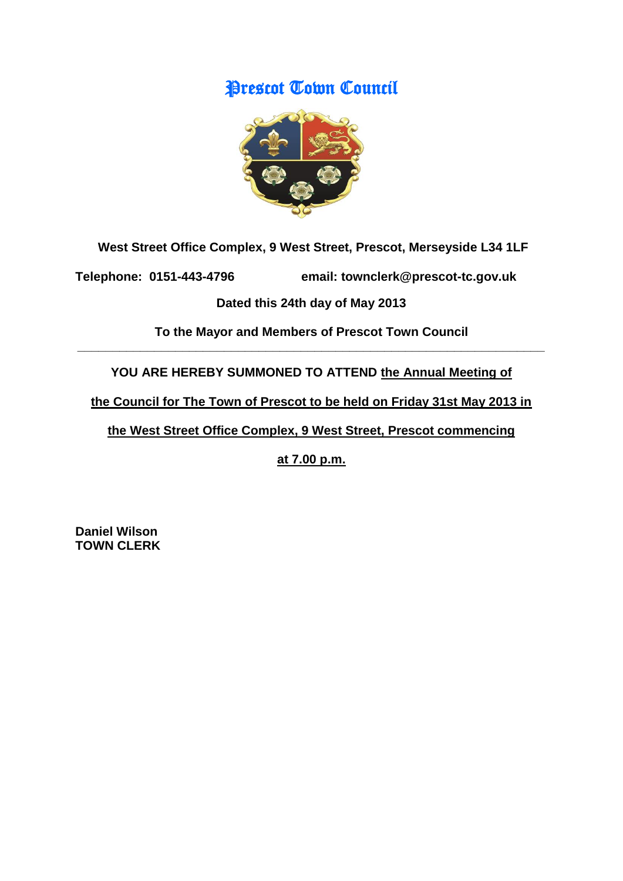# Prescot Town Council



**West Street Office Complex, 9 West Street, Prescot, Merseyside L34 1LF**

**Telephone: 0151-443-4796 email: townclerk@prescot-tc.gov.uk**

# **Dated this 24th day of May 2013**

**To the Mayor and Members of Prescot Town Council \_\_\_\_\_\_\_\_\_\_\_\_\_\_\_\_\_\_\_\_\_\_\_\_\_\_\_\_\_\_\_\_\_\_\_\_\_\_\_\_\_\_\_\_\_\_\_\_\_\_\_\_\_\_\_\_\_\_\_\_\_\_\_\_\_\_\_**

YOU ARE HEREBY SUMMONED TO ATTEND the Annual Meeting of

**the Council for The Town of Prescot to be held on Friday 31st May 2013 in** 

**the West Street Office Complex, 9 West Street, Prescot commencing** 

**at 7.00 p.m.**

**Daniel Wilson TOWN CLERK**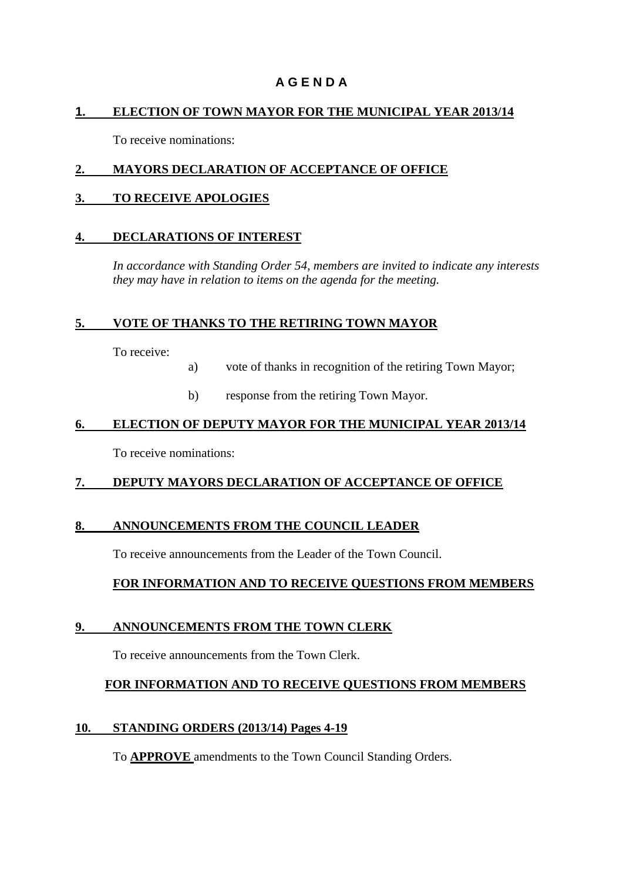# **A G E N D A**

#### **1. ELECTION OF TOWN MAYOR FOR THE MUNICIPAL YEAR 2013/14**

To receive nominations:

### **2. MAYORS DECLARATION OF ACCEPTANCE OF OFFICE**

#### **3. TO RECEIVE APOLOGIES**

#### **4. DECLARATIONS OF INTEREST**

*In accordance with Standing Order 54, members are invited to indicate any interests they may have in relation to items on the agenda for the meeting.*

#### **5. VOTE OF THANKS TO THE RETIRING TOWN MAYOR**

To receive:

- a) vote of thanks in recognition of the retiring Town Mayor;
- b) response from the retiring Town Mayor.

#### **6. ELECTION OF DEPUTY MAYOR FOR THE MUNICIPAL YEAR 2013/14**

To receive nominations:

# **7. DEPUTY MAYORS DECLARATION OF ACCEPTANCE OF OFFICE**

# **8. ANNOUNCEMENTS FROM THE COUNCIL LEADER**

To receive announcements from the Leader of the Town Council.

# **FOR INFORMATION AND TO RECEIVE QUESTIONS FROM MEMBERS**

# **9. ANNOUNCEMENTS FROM THE TOWN CLERK**

To receive announcements from the Town Clerk.

# **FOR INFORMATION AND TO RECEIVE QUESTIONS FROM MEMBERS**

#### **10. STANDING ORDERS (2013/14) Pages 4-19**

To **APPROVE** amendments to the Town Council Standing Orders.